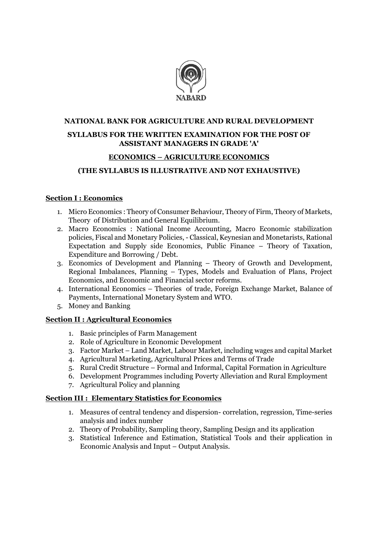

## **NATIONAL BANK FOR AGRICULTURE AND RURAL DEVELOPMENT**

### **SYLLABUS FOR THE WRITTEN EXAMINATION FOR THE POST OF ASSISTANT MANAGERS IN GRADE 'A'**

#### **ECONOMICS – AGRICULTURE ECONOMICS**

## **(THE SYLLABUS IS ILLUSTRATIVE AND NOT EXHAUSTIVE)**

#### **Section I : Economics**

- 1. Micro Economics : Theory of Consumer Behaviour, Theory of Firm, Theory of Markets, Theory of Distribution and General Equilibrium.
- 2. Macro Economics : National Income Accounting, Macro Economic stabilization policies, Fiscal and Monetary Policies, - Classical, Keynesian and Monetarists, Rational Expectation and Supply side Economics, Public Finance – Theory of Taxation, Expenditure and Borrowing / Debt.
- 3. Economics of Development and Planning Theory of Growth and Development, Regional Imbalances, Planning – Types, Models and Evaluation of Plans, Project Economics, and Economic and Financial sector reforms.
- 4. International Economics Theories of trade, Foreign Exchange Market, Balance of Payments, International Monetary System and WTO.
- 5. Money and Banking

## **Section II : Agricultural Economics**

- 1. Basic principles of Farm Management
- 2. Role of Agriculture in Economic Development
- 3. Factor Market Land Market, Labour Market, including wages and capital Market
- 4. Agricultural Marketing, Agricultural Prices and Terms of Trade
- 5. Rural Credit Structure Formal and Informal, Capital Formation in Agriculture
- 6. Development Programmes including Poverty Alleviation and Rural Employment
- 7. Agricultural Policy and planning

#### **Section III : Elementary Statistics for Economics**

- 1. Measures of central tendency and dispersion- correlation, regression, Time-series analysis and index number
- 2. Theory of Probability, Sampling theory, Sampling Design and its application
- 3. Statistical Inference and Estimation, Statistical Tools and their application in Economic Analysis and Input – Output Analysis.